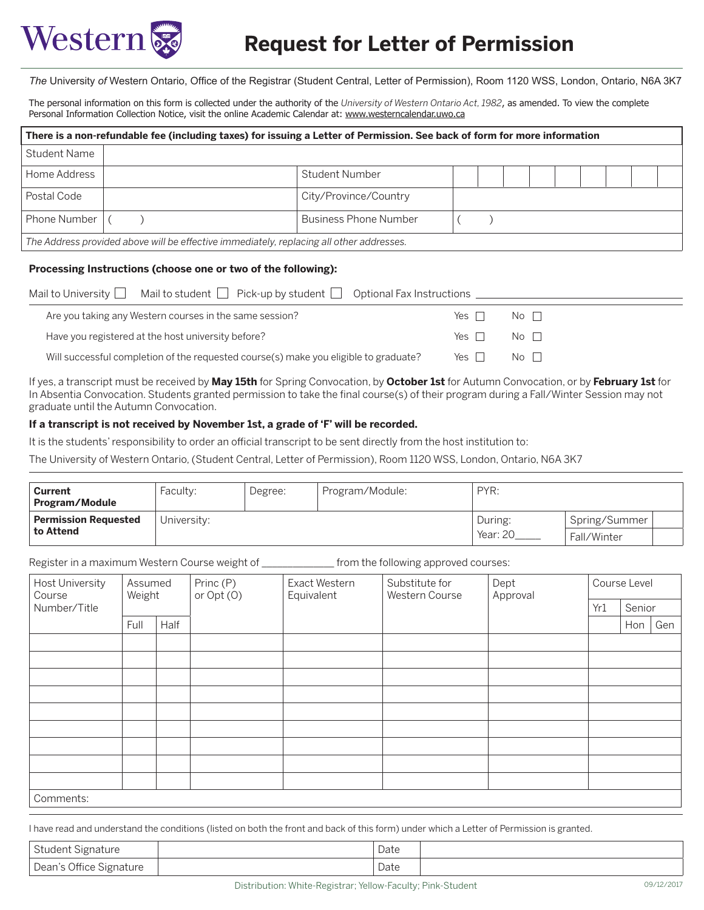

*The* University *of* Western Ontario, Office of the Registrar (Student Central, Letter of Permission), Room 1120 WSS, London, Ontario, N6A 3K7

The personal information on this form is collected under the authority of the *University of Western Ontario Act, 1982*, as amended. To view the complete Personal Information Collection Notice, visit the online Academic Calendar at: www.westerncalendar.uwo.ca

| There is a non-refundable fee (including taxes) for issuing a Letter of Permission. See back of form for more information |  |                              |  |  |  |  |  |  |  |  |
|---------------------------------------------------------------------------------------------------------------------------|--|------------------------------|--|--|--|--|--|--|--|--|
| Student Name                                                                                                              |  |                              |  |  |  |  |  |  |  |  |
| Home Address                                                                                                              |  | Student Number               |  |  |  |  |  |  |  |  |
| Postal Code                                                                                                               |  | City/Province/Country        |  |  |  |  |  |  |  |  |
| <b>Phone Number</b>                                                                                                       |  | <b>Business Phone Number</b> |  |  |  |  |  |  |  |  |
| The Address provided above will be effective immediately, replacing all other addresses.                                  |  |                              |  |  |  |  |  |  |  |  |

## **Processing Instructions (choose one or two of the following):**

| Mail to student $\Box$ Pick-up by student $\Box$ Optional Fax Instructions<br>Mail to University $\Box$ |            |                                    |  |
|---------------------------------------------------------------------------------------------------------|------------|------------------------------------|--|
| Are you taking any Western courses in the same session?                                                 | Yes II     | $\overline{N}$ o $\overline{\Box}$ |  |
| Have you registered at the host university before?                                                      | Yes $\Box$ | $No$ $\Box$                        |  |
| Will successful completion of the requested course(s) make you eligible to graduate?                    | Yes $\Box$ | $No$ $\Box$                        |  |

If yes, a transcript must be received by **May 15th** for Spring Convocation, by **October 1st** for Autumn Convocation, or by **February 1st** for In Absentia Convocation. Students granted permission to take the final course(s) of their program during a Fall/Winter Session may not graduate until the Autumn Convocation.

## **If a transcript is not received by November 1st, a grade of 'F' will be recorded.**

It is the students' responsibility to order an official transcript to be sent directly from the host institution to:

The University of Western Ontario, (Student Central, Letter of Permission), Room 1120 WSS, London, Ontario, N6A 3K7

| Current<br>Program/Module                | Faculty:    | Degree: | Program/Module: | PYR:                |                                |  |
|------------------------------------------|-------------|---------|-----------------|---------------------|--------------------------------|--|
| <b>Permission Requested</b><br>to Attend | University: |         |                 | During:<br>Year: 20 | Spring/Summer<br>⊦ Fall/Winter |  |

Register in a maximum Western Course weight of \_\_\_\_\_\_\_\_\_\_\_\_\_\_ from the following approved courses:

| Host University<br>Course | Assumed<br>Weight |      | Princ (P)<br>or Opt (O) | Exact Western<br>Equivalent | Substitute for<br>Western Course | Dept<br>Approval | Course Level |        |     |  |
|---------------------------|-------------------|------|-------------------------|-----------------------------|----------------------------------|------------------|--------------|--------|-----|--|
| Number/Title              |                   |      |                         |                             |                                  |                  | Yr1          | Senior |     |  |
|                           | Full              | Half |                         |                             |                                  |                  |              | Hon    | Gen |  |
|                           |                   |      |                         |                             |                                  |                  |              |        |     |  |
|                           |                   |      |                         |                             |                                  |                  |              |        |     |  |
|                           |                   |      |                         |                             |                                  |                  |              |        |     |  |
|                           |                   |      |                         |                             |                                  |                  |              |        |     |  |
|                           |                   |      |                         |                             |                                  |                  |              |        |     |  |
|                           |                   |      |                         |                             |                                  |                  |              |        |     |  |
|                           |                   |      |                         |                             |                                  |                  |              |        |     |  |
|                           |                   |      |                         |                             |                                  |                  |              |        |     |  |
|                           |                   |      |                         |                             |                                  |                  |              |        |     |  |
| Comments:                 |                   |      |                         |                             |                                  |                  |              |        |     |  |

I have read and understand the conditions (listed on both the front and back of this form) under which a Letter of Permission is granted.

| <b>Student Signature</b> | Date      |  |
|--------------------------|-----------|--|
| Dean's Office Signature  | Date<br>. |  |